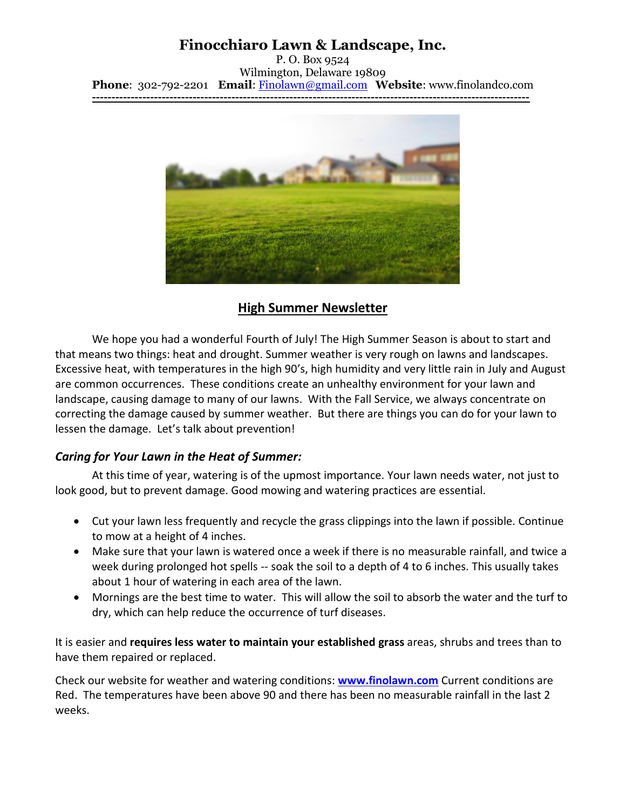# **Finocchiaro Lawn & Landscape, Inc.**

P. O. Box 9524 Wilmington, Delaware 19809 **Phone**: 302-792-2201 **Email**: [Finolawn@gmail.com](mailto:Finolawn@gmail.com) **Website**: www.finolandco.com **-----------------------------------------------------------------------------------------------------------------**



## **High Summer Newsletter**

We hope you had a wonderful Fourth of July! The High Summer Season is about to start and that means two things: heat and drought. Summer weather is very rough on lawns and landscapes. Excessive heat, with temperatures in the high 90's, high humidity and very little rain in July and August are common occurrences. These conditions create an unhealthy environment for your lawn and landscape, causing damage to many of our lawns. With the Fall Service, we always concentrate on correcting the damage caused by summer weather. But there are things you can do for your lawn to lessen the damage. Let's talk about prevention!

#### *Caring for Your Lawn in the Heat of Summer:*

At this time of year, watering is of the upmost importance. Your lawn needs water, not just to look good, but to prevent damage. Good mowing and watering practices are essential.

- Cut your lawn less frequently and recycle the grass clippings into the lawn if possible. Continue to mow at a height of 4 inches.
- Make sure that your lawn is watered once a week if there is no measurable rainfall, and twice a week during prolonged hot spells -- soak the soil to a depth of 4 to 6 inches. This usually takes about 1 hour of watering in each area of the lawn.
- Mornings are the best time to water. This will allow the soil to absorb the water and the turf to dry, which can help reduce the occurrence of turf diseases.

It is easier and **requires less water to maintain your established grass** areas, shrubs and trees than to have them repaired or replaced.

Check our website for weather and watering conditions: **[www.finolawn.com](http://www.finolawn.com/)** Current conditions are Red. The temperatures have been above 90 and there has been no measurable rainfall in the last 2 weeks.